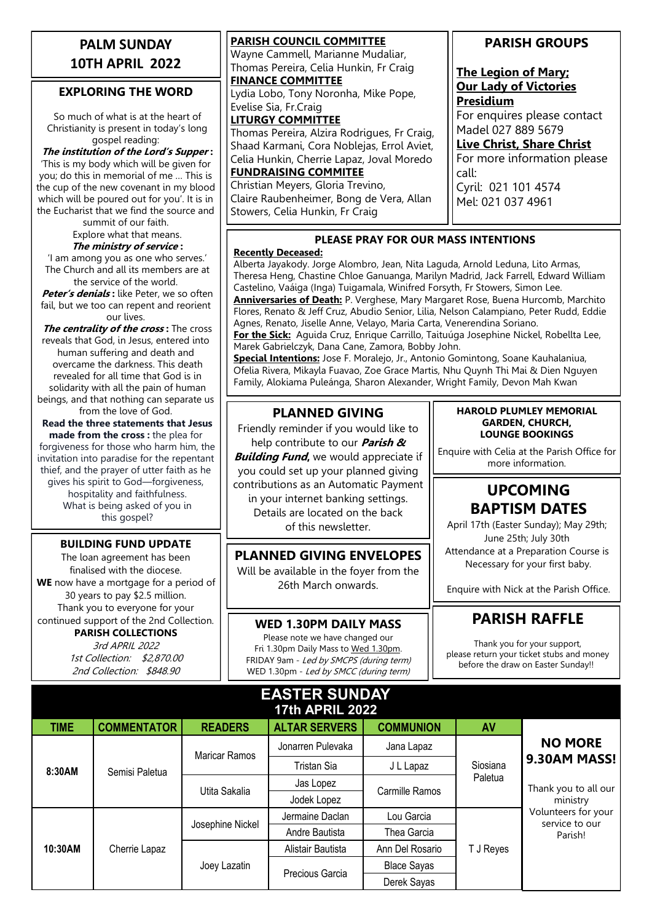## **PALM SUNDAY 10TH APRIL 2022**

## **EXPLORING THE WORD**

So much of what is at the heart of Christianity is present in today's long gospel reading:

**The institution of the Lord's Supper :**  'This is my body which will be given for you; do this in memorial of me … This is the cup of the new covenant in my blood which will be poured out for you'. It is in the Eucharist that we find the source and

summit of our faith.

Explore what that means. **The ministry of service :** 

'I am among you as one who serves.' The Church and all its members are at the service of the world.

**Peter's denials :** like Peter, we so often fail, but we too can repent and reorient our lives.

**The centrality of the cross :** The cross reveals that God, in Jesus, entered into human suffering and death and overcame the darkness. This death revealed for all time that God is in solidarity with all the pain of human beings, and that nothing can separate us from the love of God.

**Read the three statements that Jesus made from the cross :** the plea for forgiveness for those who harm him, the invitation into paradise for the repentant thief, and the prayer of utter faith as he gives his spirit to God—forgiveness, hospitality and faithfulness. What is being asked of you in this gospel?

#### **BUILDING FUND UPDATE**

The loan agreement has been finalised with the diocese. **WE** now have a mortgage for a period of 30 years to pay \$2.5 million. Thank you to everyone for your continued support of the 2nd Collection. **PARISH COLLECTIONS**

> 3rd APRIL 2022 1st Collection: \$2,870.00 2nd Collection: \$848.90

**PARISH COUNCIL COMMITTEE** Wayne Cammell, Marianne Mudaliar, Thomas Pereira, Celia Hunkin, Fr Craig **FINANCE COMMITTEE** Lydia Lobo, Tony Noronha, Mike Pope, Evelise Sia, Fr.Craig **LITURGY COMMITTEE** Thomas Pereira, Alzira Rodrigues, Fr Craig, Shaad Karmani, Cora Noblejas, Errol Aviet, Celia Hunkin, Cherrie Lapaz, Joval Moredo **FUNDRAISING COMMITEE** Christian Meyers, Gloria Trevino,

Claire Raubenheimer, Bong de Vera, Allan Stowers, Celia Hunkin, Fr Craig

## **PARISH GROUPS**

## **The Legion of Mary; Our Lady of Victories Presidium**

For enquires please contact Madel 027 889 5679

**Live Christ, Share Christ**

For more information please call: Cyril: 021 101 4574

Mel: 021 037 4961

### **PLEASE PRAY FOR OUR MASS INTENTIONS**

### **Recently Deceased:**

Alberta Jayakody. Jorge Alombro, Jean, Nita Laguda, Arnold Leduna, Lito Armas, Theresa Heng, Chastine Chloe Ganuanga, Marilyn Madrid, Jack Farrell, Edward William Castelino, Vaáiga (Inga) Tuigamala, Winifred Forsyth, Fr Stowers, Simon Lee. **Anniversaries of Death:** P. Verghese, Mary Margaret Rose, Buena Hurcomb, Marchito Flores, Renato & Jeff Cruz, Abudio Senior, Lilia, Nelson Calampiano, Peter Rudd, Eddie Agnes, Renato, Jiselle Anne, Velayo, Maria Carta, Venerendina Soriano.

**For the Sick:** Aguida Cruz, Enrique Carrillo, Taituúga Josephine Nickel, Robellta Lee, Marek Gabrielczyk, Dana Cane, Zamora, Bobby John.

**Special Intentions:** Jose F. Moralejo, Jr., Antonio Gomintong, Soane Kauhalaniua, Ofelia Rivera, Mikayla Fuavao, Zoe Grace Martis, Nhu Quynh Thi Mai & Dien Nguyen Family, Alokiama Puleánga, Sharon Alexander, Wright Family, Devon Mah Kwan

## **PLANNED GIVING**

Friendly reminder if you would like to help contribute to our **Parish &** 

**Building Fund,** we would appreciate if you could set up your planned giving contributions as an Automatic Payment in your internet banking settings. Details are located on the back of this newsletter.

**PLANNED GIVING ENVELOPES** Will be available in the foyer from the 26th March onwards.

### **WED 1.30PM DAILY MASS**

Please note we have changed our Fri 1.30pm Daily Mass to Wed 1.30pm. FRIDAY 9am - Led by SMCPS (during term) WED 1.30pm - Led by SMCC (during term)

#### **HAROLD PLUMLEY MEMORIAL GARDEN, CHURCH, LOUNGE BOOKINGS**

Enquire with Celia at the Parish Office for more information.

## **UPCOMING BAPTISM DATES**

April 17th (Easter Sunday); May 29th; June 25th; July 30th Attendance at a Preparation Course is Necessary for your first baby.

Enquire with Nick at the Parish Office.

## **PARISH RAFFLE**

Thank you for your support, please return your ticket stubs and money before the draw on Easter Sunday!!

| <b>EASTER SUNDAY</b><br><b>17th APRIL 2022</b> |                    |                  |                      |                    |                     |                                                  |  |  |
|------------------------------------------------|--------------------|------------------|----------------------|--------------------|---------------------|--------------------------------------------------|--|--|
| <b>TIME</b>                                    | <b>COMMENTATOR</b> | <b>READERS</b>   | <b>ALTAR SERVERS</b> | <b>COMMUNION</b>   | <b>AV</b>           |                                                  |  |  |
| 8:30AM                                         | Semisi Paletua     | Maricar Ramos    | Jonarren Pulevaka    | Jana Lapaz         | Siosiana<br>Paletua | <b>NO MORE</b>                                   |  |  |
|                                                |                    |                  | Tristan Sia          | J L Lapaz          |                     | 9.30AM MASS!<br>Thank you to all our<br>ministry |  |  |
|                                                |                    | Utita Sakalia    | Jas Lopez            | Carmille Ramos     |                     |                                                  |  |  |
|                                                |                    |                  | Jodek Lopez          |                    |                     |                                                  |  |  |
| 10:30AM                                        | Cherrie Lapaz      | Josephine Nickel | Jermaine Daclan      | Lou Garcia         | T J Reyes           | Volunteers for your<br>service to our            |  |  |
|                                                |                    |                  | Andre Bautista       | Thea Garcia        |                     | Parish!                                          |  |  |
|                                                |                    | Joey Lazatin     | Alistair Bautista    | Ann Del Rosario    |                     |                                                  |  |  |
|                                                |                    |                  | Precious Garcia      | <b>Blace Sayas</b> |                     |                                                  |  |  |
|                                                |                    |                  |                      | Derek Sayas        |                     |                                                  |  |  |